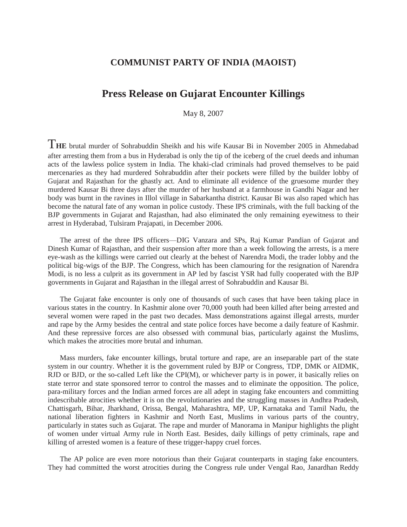## **COMMUNIST PARTY OF INDIA (MAOIST)**

## **Press Release on Gujarat Encounter Killings**

May 8, 2007

T**HE** brutal murder of Sohrabuddin Sheikh and his wife Kausar Bi in November 2005 in Ahmedabad after arresting them from a bus in Hyderabad is only the tip of the iceberg of the cruel deeds and inhuman acts of the lawless police system in India. The khaki-clad criminals had proved themselves to be paid mercenaries as they had murdered Sohrabuddin after their pockets were filled by the builder lobby of Gujarat and Rajasthan for the ghastly act. And to eliminate all evidence of the gruesome murder they murdered Kausar Bi three days after the murder of her husband at a farmhouse in Gandhi Nagar and her body was burnt in the ravines in Illol village in Sabarkantha district. Kausar Bi was also raped which has become the natural fate of any woman in police custody. These IPS criminals, with the full backing of the BJP governments in Gujarat and Rajasthan, had also eliminated the only remaining eyewitness to their arrest in Hyderabad, Tulsiram Prajapati, in December 2006.

The arrest of the three IPS officers—DIG Vanzara and SPs, Raj Kumar Pandian of Gujarat and Dinesh Kumar of Rajasthan, and their suspension after more than a week following the arrests, is a mere eye-wash as the killings were carried out clearly at the behest of Narendra Modi, the trader lobby and the political big-wigs of the BJP. The Congress, which has been clamouring for the resignation of Narendra Modi, is no less a culprit as its government in AP led by fascist YSR had fully cooperated with the BJP governments in Gujarat and Rajasthan in the illegal arrest of Sohrabuddin and Kausar Bi.

The Gujarat fake encounter is only one of thousands of such cases that have been taking place in various states in the country. In Kashmir alone over 70,000 youth had been killed after being arrested and several women were raped in the past two decades. Mass demonstrations against illegal arrests, murder and rape by the Army besides the central and state police forces have become a daily feature of Kashmir. And these repressive forces are also obsessed with communal bias, particularly against the Muslims, which makes the atrocities more brutal and inhuman.

Mass murders, fake encounter killings, brutal torture and rape, are an inseparable part of the state system in our country. Whether it is the government ruled by BJP or Congress, TDP, DMK or AIDMK, RJD or BJD, or the so-called Left like the CPI(M), or whichever party is in power, it basically relies on state terror and state sponsored terror to control the masses and to eliminate the opposition. The police, para-military forces and the Indian armed forces are all adept in staging fake encounters and committing indescribable atrocities whether it is on the revolutionaries and the struggling masses in Andhra Pradesh, Chattisgarh, Bihar, Jharkhand, Orissa, Bengal, Maharashtra, MP, UP, Karnataka and Tamil Nadu, the national liberation fighters in Kashmir and North East, Muslims in various parts of the country, particularly in states such as Gujarat. The rape and murder of Manorama in Manipur highlights the plight of women under virtual Army rule in North East. Besides, daily killings of petty criminals, rape and killing of arrested women is a feature of these trigger-happy cruel forces.

The AP police are even more notorious than their Gujarat counterparts in staging fake encounters. They had committed the worst atrocities during the Congress rule under Vengal Rao, Janardhan Reddy